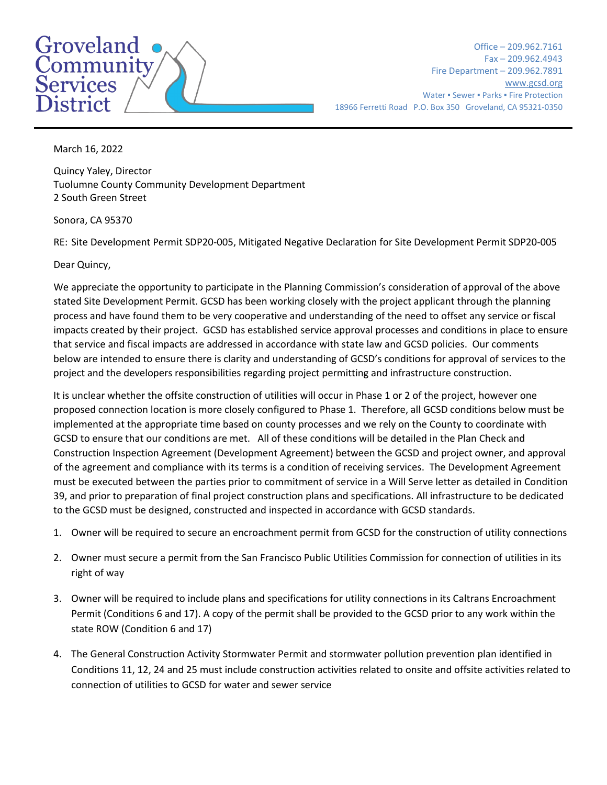## Groveland  $\overline{\text{Commuty}}$ <br>Services

Office – 209.962.7161 Fax – 209.962.4943 Fire Department – 209.962.7891 [www.gcsd.org](http://www.gcsd.org/) Water • Sewer • Parks • Fire Protection 18966 Ferretti Road P.O. Box 350 Groveland, CA 95321-0350

March 16, 2022

Quincy Yaley, Director Tuolumne County Community Development Department 2 South Green Street

Sonora, CA 95370

RE: Site Development Permit SDP20-005, Mitigated Negative Declaration for Site Development Permit SDP20-005

Dear Quincy,

We appreciate the opportunity to participate in the Planning Commission's consideration of approval of the above stated Site Development Permit. GCSD has been working closely with the project applicant through the planning process and have found them to be very cooperative and understanding of the need to offset any service or fiscal impacts created by their project. GCSD has established service approval processes and conditions in place to ensure that service and fiscal impacts are addressed in accordance with state law and GCSD policies. Our comments below are intended to ensure there is clarity and understanding of GCSD's conditions for approval of services to the project and the developers responsibilities regarding project permitting and infrastructure construction.

It is unclear whether the offsite construction of utilities will occur in Phase 1 or 2 of the project, however one proposed connection location is more closely configured to Phase 1. Therefore, all GCSD conditions below must be implemented at the appropriate time based on county processes and we rely on the County to coordinate with GCSD to ensure that our conditions are met. All of these conditions will be detailed in the Plan Check and Construction Inspection Agreement (Development Agreement) between the GCSD and project owner, and approval of the agreement and compliance with its terms is a condition of receiving services. The Development Agreement must be executed between the parties prior to commitment of service in a Will Serve letter as detailed in Condition 39, and prior to preparation of final project construction plans and specifications. All infrastructure to be dedicated to the GCSD must be designed, constructed and inspected in accordance with GCSD standards.

- 1. Owner will be required to secure an encroachment permit from GCSD for the construction of utility connections
- 2. Owner must secure a permit from the San Francisco Public Utilities Commission for connection of utilities in its right of way
- 3. Owner will be required to include plans and specifications for utility connections in its Caltrans Encroachment Permit (Conditions 6 and 17). A copy of the permit shall be provided to the GCSD prior to any work within the state ROW (Condition 6 and 17)
- 4. The General Construction Activity Stormwater Permit and stormwater pollution prevention plan identified in Conditions 11, 12, 24 and 25 must include construction activities related to onsite and offsite activities related to connection of utilities to GCSD for water and sewer service